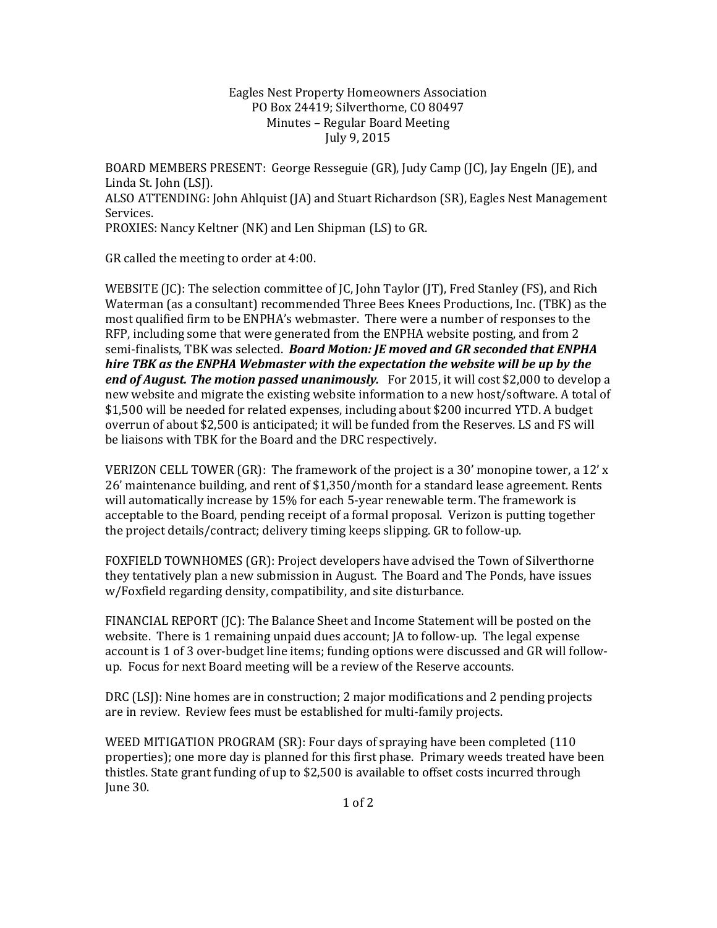## Eagles Nest Property Homeowners Association PO Box 24419; Silverthorne, CO 80497 Minutes – Regular Board Meeting July 9, 2015

BOARD MEMBERS PRESENT: George Resseguie (GR), Judy Camp (JC), Jay Engeln (JE), and Linda St. John (LSJ). ALSO ATTENDING: John Ahlquist (JA) and Stuart Richardson (SR), Eagles Nest Management Services. PROXIES: Nancy Keltner (NK) and Len Shipman (LS) to GR.

GR called the meeting to order at 4:00.

WEBSITE (JC): The selection committee of JC, John Taylor (JT), Fred Stanley (FS), and Rich Waterman (as a consultant) recommended Three Bees Knees Productions, Inc. (TBK) as the most qualified firm to be ENPHA's webmaster. There were a number of responses to the RFP, including some that were generated from the ENPHA website posting, and from 2 semi-finalists, TBK was selected. Board Motion: JE moved and GR seconded that ENPHA hire TBK as the ENPHA Webmaster with the expectation the website will be up by the end of August. The motion passed unanimously. For 2015, it will cost \$2,000 to develop a new website and migrate the existing website information to a new host/software. A total of \$1,500 will be needed for related expenses, including about \$200 incurred YTD. A budget overrun of about \$2,500 is anticipated; it will be funded from the Reserves. LS and FS will be liaisons with TBK for the Board and the DRC respectively.

VERIZON CELL TOWER (GR): The framework of the project is a 30' monopine tower, a 12' x 26' maintenance building, and rent of \$1,350/month for a standard lease agreement. Rents will automatically increase by 15% for each 5-year renewable term. The framework is acceptable to the Board, pending receipt of a formal proposal. Verizon is putting together the project details/contract; delivery timing keeps slipping. GR to follow-up.

FOXFIELD TOWNHOMES (GR): Project developers have advised the Town of Silverthorne they tentatively plan a new submission in August. The Board and The Ponds, have issues w/Foxfield regarding density, compatibility, and site disturbance.

FINANCIAL REPORT (JC): The Balance Sheet and Income Statement will be posted on the website. There is 1 remaining unpaid dues account; JA to follow-up. The legal expense account is 1 of 3 over-budget line items; funding options were discussed and GR will followup. Focus for next Board meeting will be a review of the Reserve accounts.

DRC (LSJ): Nine homes are in construction; 2 major modifications and 2 pending projects are in review. Review fees must be established for multi-family projects.

WEED MITIGATION PROGRAM (SR): Four days of spraying have been completed (110 properties); one more day is planned for this first phase. Primary weeds treated have been thistles. State grant funding of up to \$2,500 is available to offset costs incurred through June 30.